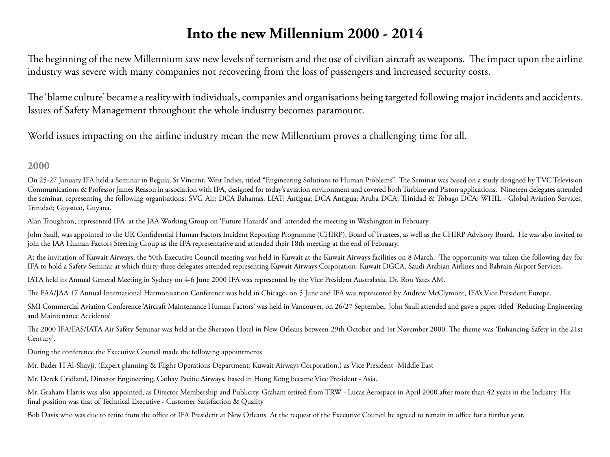# **Into the new Millennium 2000 - 2014**

The beginning of the new Millennium saw new levels of terrorism and the use of civilian aircraft as weapons. The impact upon the airline industry was severe with many companies not recovering from the loss of passengers and increased security costs.

The 'blame culture' became a reality with individuals, companies and organisations being targeted following major incidents and accidents. Issues of Safety Management throughout the whole industry becomes paramount.

World issues impacting on the airline industry mean the new Millennium proves a challenging time for all.

## **2000**

On 25-27 January IFA held a Seminar in Beguia, St Vincent, West Indies, titled "Engineering Solutions to Human Problems". The Seminar was based on a study designed by TVC Television Communications & Professor James Reason in association with IFA, designed for today's aviation environment and covered both Turbine and Piston applications. Nineteen delegates attended the seminar, representing the following organisations: SVG Air; DCA Bahamas; LIAT; Antigua; DCA Antigua; Aruba DCA; Trinidad & Tobago DCA; WHIL - Global Aviation Services, Trinidad; Guysuco, Guyana.

Alan Troughton, represented IFA at the JAA Working Group on 'Future Hazards' and attended the meeting in Washington in February.

John Saull, was appointed to the UK Confidential Human Factors Incident Reporting Programme (CHIRP), Board of Trustees, as well as the CHIRP Advisory Board. He was also invited to join the JAA Human Factors Steering Group as the IFA representative and attended their 18th meeting at the end of February.

At the invitation of Kuwait Airways, the 50th Executive Council meeting was held in Kuwait at the Kuwait Airways facilities on 8 March. The opportunity was taken the following day for IFA to hold a Safety Seminar at which thirty-three delegates attended representing Kuwait Airways Corporation, Kuwait DGCA, Saudi Arabian Airlines and Bahrain Airport Services.

IATA held its Annual General Meeting in Sydney on 4-6 June 2000 IFA was represented by the Vice President Australasia, Dr. Ron Yates AM.

The FAA/JAA 17 Annual International Harmonisation Conference was held in Chicago, on 5 June and IFA was represented by Andrew McClymont, IFA's Vice President Europe.

SMI Commercial Aviation Conference 'Aircraft Maintenance Human Factors' was held in Vancouver, on 26/27 September. John Saull attended and gave a paper titled 'Reducing Engineering and Maintenance Accidents'

The 2000 IFA/FAS/IATA Air Safety Seminar was held at the Sheraton Hotel in New Orleans between 29th October and 1st November 2000. The theme was 'Enhancing Safety in the 21st Century'.

During the conference the Executive Council made the following appointments

Mr. Bader H Al-Shayji, (Expert planning & Flight Operations Department, Kuwait Airways Corporation.) as Vice President -Middle East

Mr. Derek Cridland, Director Engineering, Cathay Pacific Airways, based in Hong Kong became Vice President - Asia.

Mr. Graham Harris was also appointed, as Director Membership and Publicity. Graham retired from TRW - Lucas Aerospace in April 2000 after more than 42 years in the Industry. His final position was that of Technical Executive - Customer Satisfaction & Quality

Bob Davis who was due to retire from the office of IFA President at New Orleans. At the request of the Executive Council he agreed to remain in office for a further year.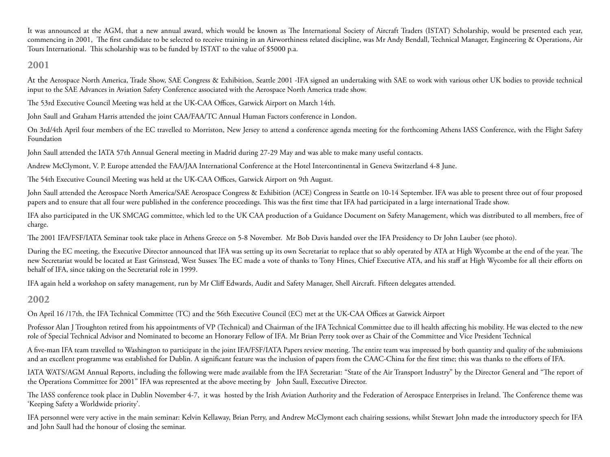It was announced at the AGM, that a new annual award, which would be known as The International Society of Aircraft Traders (ISTAT) Scholarship, would be presented each year, commencing in 2001, The first candidate to be selected to receive training in an Airworthiness related discipline, was Mr Andy Bendall, Technical Manager, Engineering & Operations, Air Tours International. This scholarship was to be funded by ISTAT to the value of \$5000 p.a.

## **2001**

At the Aerospace North America, Trade Show, SAE Congress & Exhibition, Seattle 2001 -IFA signed an undertaking with SAE to work with various other UK bodies to provide technical input to the SAE Advances in Aviation Safety Conference associated with the Aerospace North America trade show.

The 53rd Executive Council Meeting was held at the UK-CAA Offices, Gatwick Airport on March 14th.

John Saull and Graham Harris attended the joint CAA/FAA/TC Annual Human Factors conference in London.

On 3rd/4th April four members of the EC travelled to Morriston, New Jersey to attend a conference agenda meeting for the forthcoming Athens IASS Conference, with the Flight Safety Foundation

John Saull attended the IATA 57th Annual General meeting in Madrid during 27-29 May and was able to make many useful contacts.

Andrew McClymont, V. P. Europe attended the FAA/JAA International Conference at the Hotel Intercontinental in Geneva Switzerland 4-8 June.

The 54th Executive Council Meeting was held at the UK-CAA Offices, Gatwick Airport on 9th August.

John Saull attended the Aerospace North America/SAE Aerospace Congress & Exhibition (ACE) Congress in Seattle on 10-14 September. IFA was able to present three out of four proposed papers and to ensure that all four were published in the conference proceedings. This was the first time that IFA had participated in a large international Trade show.

IFA also participated in the UK SMCAG committee, which led to the UK CAA production of a Guidance Document on Safety Management, which was distributed to all members, free of charge.

The 2001 IFA/FSF/IATA Seminar took take place in Athens Greece on 5-8 November. Mr Bob Davis handed over the IFA Presidency to Dr John Lauber (see photo).

During the EC meeting, the Executive Director announced that IFA was setting up its own Secretariat to replace that so ably operated by ATA at High Wycombe at the end of the year. The new Secretariat would be located at East Grinstead, West Sussex The EC made a vote of thanks to Tony Hines, Chief Executive ATA, and his staff at High Wycombe for all their efforts on behalf of IFA, since taking on the Secretarial role in 1999.

IFA again held a workshop on safety management, run by Mr Cliff Edwards, Audit and Safety Manager, Shell Aircraft. Fifteen delegates attended.

## **2002**

On April 16 /17th, the IFA Technical Committee (TC) and the 56th Executive Council (EC) met at the UK-CAA Offices at Gatwick Airport

Professor Alan J Troughton retired from his appointments of VP (Technical) and Chairman of the IFA Technical Committee due to ill health affecting his mobility. He was elected to the new role of Special Technical Advisor and Nominated to become an Honorary Fellow of IFA. Mr Brian Perry took over as Chair of the Committee and Vice President Technical

A five-man IFA team travelled to Washington to participate in the joint IFA/FSF/IATA Papers review meeting. The entire team was impressed by both quantity and quality of the submissions and an excellent programme was established for Dublin. A significant feature was the inclusion of papers from the CAAC-China for the first time; this was thanks to the efforts of IFA.

IATA WATS/AGM Annual Reports, including the following were made available from the IFA Secretariat: "State of the Air Transport Industry" by the Director General and "The report of the Operations Committee for 2001" IFA was represented at the above meeting by John Saull, Executive Director.

The IASS conference took place in Dublin November 4-7, it was hosted by the Irish Aviation Authority and the Federation of Aerospace Enterprises in Ireland. The Conference theme was 'Keeping Safety a Worldwide priority'.

IFA personnel were very active in the main seminar: Kelvin Kellaway, Brian Perry, and Andrew McClymont each chairing sessions, whilst Stewart John made the introductory speech for IFA and John Saull had the honour of closing the seminar.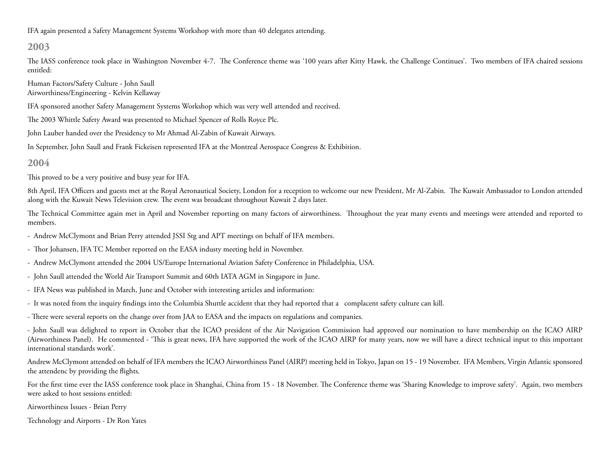IFA again presented a Safety Management Systems Workshop with more than 40 delegates attending.

## **2003**

The IASS conference took place in Washington November 4-7. The Conference theme was '100 years after Kitty Hawk, the Challenge Continues'. Two members of IFA chaired sessions entitled:

Human Factors/Safety Culture - John Saull Airworthiness/Engineering - Kelvin Kellaway

IFA sponsored another Safety Management Systems Workshop which was very well attended and received.

The 2003 Whittle Safety Award was presented to Michael Spencer of Rolls Royce Plc.

John Lauber handed over the Presidency to Mr Ahmad Al-Zabin of Kuwait Airways.

In September, John Saull and Frank Fickeisen represented IFA at the Montreal Aerospace Congress & Exhibition.

## **2004**

This proved to be a very positive and busy year for IFA.

8th April, IFA Officers and guests met at the Royal Aeronautical Society, London for a reception to welcome our new President, Mr Al-Zabin. The Kuwait Ambassador to London attended along with the Kuwait News Television crew. The event was broadcast throughout Kuwait 2 days later.

The Technical Committee again met in April and November reporting on many factors of airworthiness. Throughout the year many events and meetings were attended and reported to members.

- Andrew McClymont and Brian Perry attended JSSI Stg and APT meetings on behalf of IFA members.
- Thor Johansen, IFA TC Member reported on the EASA industy meeting held in November.
- Andrew McClymont attended the 2004 US/Europe International Aviation Safety Conference in Philadelphia, USA.
- John Saull attended the World Air Transport Summit and 60th IATA AGM in Singapore in June.
- IFA News was published in March, June and October with interesting articles and information:
- It was noted from the inquiry findings into the Columbia Shuttle accident that they had reported that a complacent safety culture can kill.

- There were several reports on the change over from JAA to EASA and the impacts on regulations and companies.

- John Saull was delighted to report in October that the ICAO president of the Air Navigation Commission had approved our nomination to have membership on the ICAO AIRP (Airworthiness Panel). He commented - 'This is great news, IFA have supported the work of the ICAO AIRP for many years, now we will have a direct technical input to this important international standards work'.

Andrew McClymont attended on behalf of IFA members the ICAO Airworthiness Panel (AIRP) meeting held in Tokyo, Japan on 15 - 19 November. IFA Members, Virgin Atlantic sponsored the attendenc by providing the flights.

For the first time ever the IASS conference took place in Shanghai, China from 15 - 18 November. The Conference theme was 'Sharing Knowledge to improve safety'. Again, two members were asked to host sessions entitled:

Airworthiness Issues - Brian Perry

Technology and Airports - Dr Ron Yates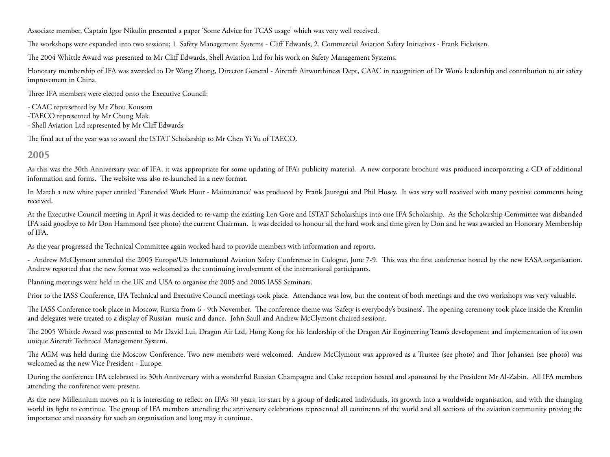Associate member, Captain Igor Nikulin presented a paper 'Some Advice for TCAS usage' which was very well received.

The workshops were expanded into two sessions; 1. Safety Management Systems - Cliff Edwards, 2. Commercial Aviation Safety Initiatives - Frank Fickeisen.

The 2004 Whittle Award was presented to Mr Cliff Edwards, Shell Aviation Ltd for his work on Safety Management Systems.

Honorary membership of IFA was awarded to Dr Wang Zhong, Director General - Aircraft Airworthiness Dept, CAAC in recognition of Dr Won's leadership and contribution to air safety improvement in China.

Three IFA members were elected onto the Executive Council:

- CAAC represented by Mr Zhou Kousom

- -TAECO represented by Mr Chung Mak
- Shell Aviation Ltd represented by Mr Cliff Edwards

The final act of the year was to award the ISTAT Scholarship to Mr Chen Yi Yu of TAECO.

## **2005**

As this was the 30th Anniversary year of IFA, it was appropriate for some updating of IFA's publicity material. A new corporate brochure was produced incorporating a CD of additional information and forms. The website was also re-launched in a new format.

In March a new white paper entitled 'Extended Work Hour - Maintenance' was produced by Frank Jauregui and Phil Hosey. It was very well received with many positive comments being received.

At the Executive Council meeting in April it was decided to re-vamp the existing Len Gore and ISTAT Scholarships into one IFA Scholarship. As the Scholarship Committee was disbanded IFA said goodbye to Mr Don Hammond (see photo) the current Chairman. It was decided to honour all the hard work and time given by Don and he was awarded an Honorary Membership of IFA.

As the year progressed the Technical Committee again worked hard to provide members with information and reports.

- Andrew McClymont attended the 2005 Europe/US International Aviation Safety Conference in Cologne, June 7-9. This was the first conference hosted by the new EASA organisation. Andrew reported that the new format was welcomed as the continuing involvement of the international participants.

Planning meetings were held in the UK and USA to organise the 2005 and 2006 IASS Seminars.

Prior to the IASS Conference, IFA Technical and Executive Council meetings took place. Attendance was low, but the content of both meetings and the two workshops was very valuable.

The IASS Conference took place in Moscow, Russia from 6 - 9th November. The conference theme was 'Safety is everybody's business'. The opening ceremony took place inside the Kremlin and delegates were treated to a display of Russian music and dance. John Saull and Andrew McClymont chaired sessions.

The 2005 Whittle Award was presented to Mr David Lui, Dragon Air Ltd, Hong Kong for his leadership of the Dragon Air Engineering Team's development and implementation of its own unique Aircraft Technical Management System.

The AGM was held during the Moscow Conference. Two new members were welcomed. Andrew McClymont was approved as a Trustee (see photo) and Thor Johansen (see photo) was welcomed as the new Vice President - Europe.

During the conference IFA celebrated its 30th Anniversary with a wonderful Russian Champagne and Cake reception hosted and sponsored by the President Mr Al-Zabin. All IFA members attending the conference were present.

As the new Millennium moves on it is interesting to reflect on IFA's 30 years, its start by a group of dedicated individuals, its growth into a worldwide organisation, and with the changing world its fight to continue. The group of IFA members attending the anniversary celebrations represented all continents of the world and all sections of the aviation community proving the importance and necessity for such an organisation and long may it continue.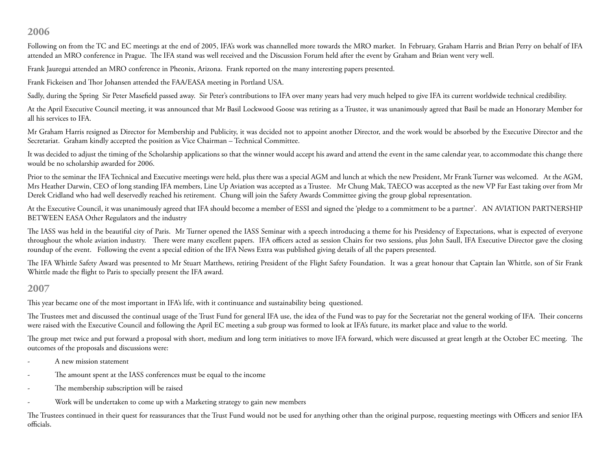## **2006**

Following on from the TC and EC meetings at the end of 2005, IFA's work was channelled more towards the MRO market. In February, Graham Harris and Brian Perry on behalf of IFA attended an MRO conference in Prague. The IFA stand was well received and the Discussion Forum held after the event by Graham and Brian went very well.

Frank Jauregui attended an MRO conference in Pheonix, Arizona. Frank reported on the many interesting papers presented.

Frank Fickeisen and Thor Johansen attended the FAA/EASA meeting in Portland USA.

Sadly, during the Spring Sir Peter Masefield passed away. Sir Peter's contributions to IFA over many years had very much helped to give IFA its current worldwide technical credibility.

At the April Executive Council meeting, it was announced that Mr Basil Lockwood Goose was retiring as a Trustee, it was unanimously agreed that Basil be made an Honorary Member for all his services to IFA.

Mr Graham Harris resigned as Director for Membership and Publicity, it was decided not to appoint another Director, and the work would be absorbed by the Executive Director and the Secretariat. Graham kindly accepted the position as Vice Chairman – Technical Committee.

It was decided to adjust the timing of the Scholarship applications so that the winner would accept his award and attend the event in the same calendar year, to accommodate this change there would be no scholarship awarded for 2006.

Prior to the seminar the IFA Technical and Executive meetings were held, plus there was a special AGM and lunch at which the new President, Mr Frank Turner was welcomed. At the AGM, Mrs Heather Darwin, CEO of long standing IFA members, Line Up Aviation was accepted as a Trustee. Mr Chung Mak, TAECO was accepted as the new VP Far East taking over from Mr Derek Cridland who had well deservedly reached his retirement. Chung will join the Safety Awards Committee giving the group global representation.

At the Executive Council, it was unanimously agreed that IFA should become a member of ESSI and signed the 'pledge to a commitment to be a partner'. AN AVIATION PARTNERSHIP BETWEEN EASA Other Regulators and the industry

The IASS was held in the beautiful city of Paris. Mr Turner opened the IASS Seminar with a speech introducing a theme for his Presidency of Expectations, what is expected of everyone throughout the whole aviation industry. There were many excellent papers. IFA officers acted as session Chairs for two sessions, plus John Saull, IFA Executive Director gave the closing roundup of the event. Following the event a special edition of the IFA News Extra was published giving details of all the papers presented.

The IFA Whittle Safety Award was presented to Mr Stuart Matthews, retiring President of the Flight Safety Foundation. It was a great honour that Captain Ian Whittle, son of Sir Frank Whittle made the flight to Paris to specially present the IFA award.

#### **2007**

This year became one of the most important in IFA's life, with it continuance and sustainability being questioned.

The Trustees met and discussed the continual usage of the Trust Fund for general IFA use, the idea of the Fund was to pay for the Secretariat not the general working of IFA. Their concerns were raised with the Executive Council and following the April EC meeting a sub group was formed to look at IFA's future, its market place and value to the world.

The group met twice and put forward a proposal with short, medium and long term initiatives to move IFA forward, which were discussed at great length at the October EC meeting. The outcomes of the proposals and discussions were:

- A new mission statement
- The amount spent at the IASS conferences must be equal to the income
- The membership subscription will be raised
- Work will be undertaken to come up with a Marketing strategy to gain new members

The Trustees continued in their quest for reassurances that the Trust Fund would not be used for anything other than the original purpose, requesting meetings with Officers and senior IFA officials.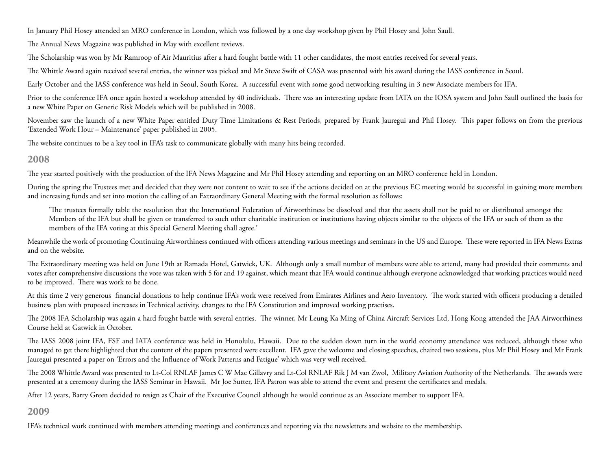In January Phil Hosey attended an MRO conference in London, which was followed by a one day workshop given by Phil Hosey and John Saull.

The Annual News Magazine was published in May with excellent reviews.

The Scholarship was won by Mr Ramroop of Air Mauritius after a hard fought battle with 11 other candidates, the most entries received for several years.

The Whittle Award again received several entries, the winner was picked and Mr Steve Swift of CASA was presented with his award during the IASS conference in Seoul.

Early October and the IASS conference was held in Seoul, South Korea. A successful event with some good networking resulting in 3 new Associate members for IFA.

Prior to the conference IFA once again hosted a workshop attended by 40 individuals. There was an interesting update from IATA on the IOSA system and John Saull outlined the basis for a new White Paper on Generic Risk Models which will be published in 2008.

November saw the launch of a new White Paper entitled Duty Time Limitations & Rest Periods, prepared by Frank Jauregui and Phil Hosey. This paper follows on from the previous 'Extended Work Hour – Maintenance' paper published in 2005.

The website continues to be a key tool in IFA's task to communicate globally with many hits being recorded.

# **2008**

The year started positively with the production of the IFA News Magazine and Mr Phil Hosey attending and reporting on an MRO conference held in London.

During the spring the Trustees met and decided that they were not content to wait to see if the actions decided on at the previous EC meeting would be successful in gaining more members and increasing funds and set into motion the calling of an Extraordinary General Meeting with the formal resolution as follows:

'The trustees formally table the resolution that the International Federation of Airworthiness be dissolved and that the assets shall not be paid to or distributed amongst the Members of the IFA but shall be given or transferred to such other charitable institution or institutions having objects similar to the objects of the IFA or such of them as the members of the IFA voting at this Special General Meeting shall agree.'

Meanwhile the work of promoting Continuing Airworthiness continued with officers attending various meetings and seminars in the US and Europe. These were reported in IFA News Extras and on the website.

The Extraordinary meeting was held on June 19th at Ramada Hotel, Gatwick, UK. Although only a small number of members were able to attend, many had provided their comments and votes after comprehensive discussions the vote was taken with 5 for and 19 against, which meant that IFA would continue although everyone acknowledged that working practices would need to be improved. There was work to be done.

At this time 2 very generous financial donations to help continue IFA's work were received from Emirates Airlines and Aero Inventory. The work started with officers producing a detailed business plan with proposed increases in Technical activity, changes to the IFA Constitution and improved working practises.

The 2008 IFA Scholarship was again a hard fought battle with several entries. The winner, Mr Leung Ka Ming of China Aircraft Services Ltd, Hong Kong attended the JAA Airworthiness Course held at Gatwick in October.

The IASS 2008 joint IFA, FSF and IATA conference was held in Honolulu, Hawaii. Due to the sudden down turn in the world economy attendance was reduced, although those who managed to get there highlighted that the content of the papers presented were excellent. IFA gave the welcome and closing speeches, chaired two sessions, plus Mr Phil Hosey and Mr Frank Jauregui presented a paper on 'Errors and the Influence of Work Patterns and Fatigue' which was very well received.

The 2008 Whittle Award was presented to Lt-Col RNLAF James C W Mac Gillavry and Lt-Col RNLAF Rik J M van Zwol, Military Aviation Authority of the Netherlands. The awards were presented at a ceremony during the IASS Seminar in Hawaii. Mr Joe Sutter, IFA Patron was able to attend the event and present the certificates and medals.

After 12 years, Barry Green decided to resign as Chair of the Executive Council although he would continue as an Associate member to support IFA.

# **2009**

IFA's technical work continued with members attending meetings and conferences and reporting via the newsletters and website to the membership.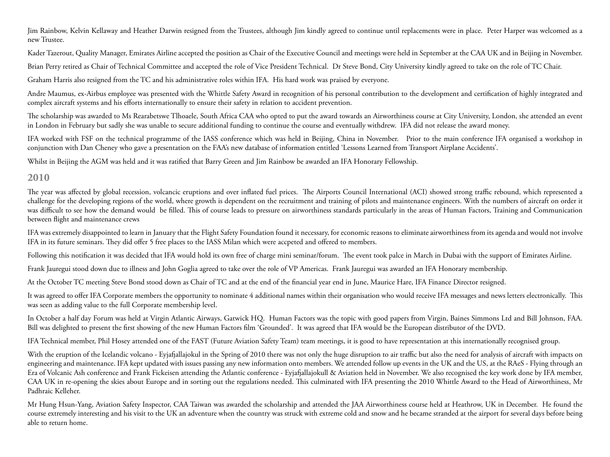Jim Rainbow, Kelvin Kellaway and Heather Darwin resigned from the Trustees, although Jim kindly agreed to continue until replacements were in place. Peter Harper was welcomed as a new Trustee.

Kader Tazerout, Quality Manager, Emirates Airline accepted the position as Chair of the Executive Council and meetings were held in September at the CAA UK and in Beijing in November.

Brian Perry retired as Chair of Technical Committee and accepted the role of Vice President Technical. Dr Steve Bond, City University kindly agreed to take on the role of TC Chair.

Graham Harris also resigned from the TC and his administrative roles within IFA. His hard work was praised by everyone.

Andre Maumus, ex-Airbus employee was presented with the Whittle Safety Award in recognition of his personal contribution to the development and certification of highly integrated and complex aircraft systems and his efforts internationally to ensure their safety in relation to accident prevention.

The scholarship was awarded to Ms Rearabetswe Tlhoaele, South Africa CAA who opted to put the award towards an Airworthiness course at City University, London, she attended an event in London in February but sadly she was unable to secure additional funding to continue the course and eventually withdrew. IFA did not release the award money.

IFA worked with FSF on the technical programme of the IASS conference which was held in Beijing, China in November. Prior to the main conference IFA organised a workshop in conjunction with Dan Cheney who gave a presentation on the FAA's new database of information entitled 'Lessons Learned from Transport Airplane Accidents'.

Whilst in Beijing the AGM was held and it was ratified that Barry Green and Jim Rainbow be awarded an IFA Honorary Fellowship.

## **2010**

The year was affected by global recession, volcancic eruptions and over inflated fuel prices. The Airports Council International (ACI) showed strong traffic rebound, which represented a challenge for the developing regions of the world, where growth is dependent on the recruitment and training of pilots and maintenance engineers. With the numbers of aircraft on order it was difficult to see how the demand would be filled. This of course leads to pressure on airworthiness standards particularly in the areas of Human Factors, Training and Communication between flight and maintenance crews

IFA was extremely disappointed to learn in January that the Flight Safety Foundation found it necessary, for economic reasons to eliminate airworthiness from its agenda and would not involve IFA in its future seminars. They did offer 5 free places to the IASS Milan which were accpeted and offered to members.

Following this notification it was decided that IFA would hold its own free of charge mini seminar/forum. The event took palce in March in Dubai with the support of Emirates Airline.

Frank Jauregui stood down due to illness and John Goglia agreed to take over the role of VP Americas. Frank Jauregui was awarded an IFA Honorary membership.

At the October TC meeting Steve Bond stood down as Chair of TC and at the end of the financial year end in June, Maurice Hare, IFA Finance Director resigned.

It was agreed to offer IFA Corporate members the opportunity to nominate 4 additional names within their organisation who would receive IFA messages and news letters electronically. This was seen as adding value to the full Corporate membership level.

In October a half day Forum was held at Virgin Atlantic Airways, Gatwick HQ. Human Factors was the topic with good papers from Virgin, Baines Simmons Ltd and Bill Johnson, FAA. Bill was delighted to present the first showing of the new Human Factors film 'Grounded'. It was agreed that IFA would be the European distributor of the DVD.

IFA Technical member, Phil Hosey attended one of the FAST (Future Aviation Safety Team) team meetings, it is good to have representation at this internationally recognised group.

With the eruption of the Icelandic volcano - Eyjafjallajokul in the Spring of 2010 there was not only the huge disruption to air traffic but also the need for analysis of aircraft with impacts on engineering and maintenance. IFA kept updated with issues passing any new information onto members. We attended follow up events in the UK and the US, at the RAeS - Flying through an Era of Volcanic Ash conference and Frank Fickeisen attending the Atlantic conference - Eyjafjallajokull & Aviation held in November. We also recognised the key work done by IFA member, CAA UK in re-opening the skies about Europe and in sorting out the regulations needed. This culminated with IFA presenting the 2010 Whittle Award to the Head of Airworthiness, Mr Padhraic Kelleher.

Mr Hung Hsun-Yang, Aviation Safety Inspector, CAA Taiwan was awarded the scholarship and attended the JAA Airworthiness course held at Heathrow, UK in December. He found the course extremely interesting and his visit to the UK an adventure when the country was struck with extreme cold and snow and he became stranded at the airport for several days before being able to return home.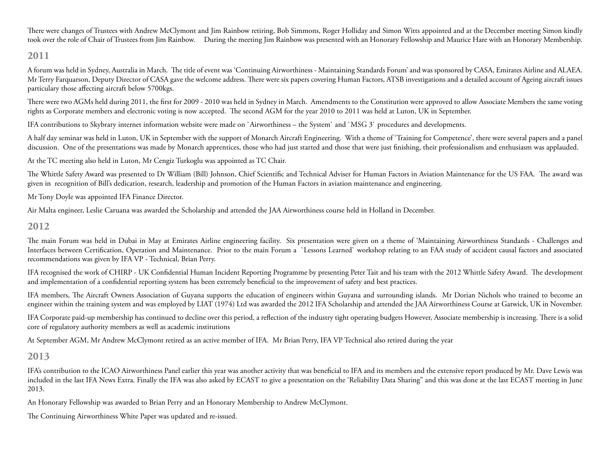There were changes of Trustees with Andrew McClymont and Jim Rainbow retiring, Bob Simmons, Roger Holliday and Simon Witts appointed and at the December meeting Simon kindly took over the role of Chair of Trustees from Jim Rainbow. During the meeting Jim Rainbow was presented with an Honorary Fellowship and Maurice Hare with an Honorary Membership.

#### **2011**

A forum was held in Sydney, Australia in March. The title of event was 'Continuing Airworthiness - Maintaining Standards Forum' and was sponsored by CASA, Emirates Airline and ALAEA. Mr Terry Farquarson, Deputy Director of CASA gave the welcome address. There were six papers covering Human Factors, ATSB investigations and a detailed account of Ageing aircraft issues particulary those affecting aircraft below 5700kgs.

There were two AGMs held during 2011, the first for 2009 - 2010 was held in Sydney in March. Amendments to the Constitution were approved to allow Associate Members the same voting rights as Corporate members and electronic voting is now accepted. The second AGM for the year 2010 to 2011 was held at Luton, UK in September.

IFA contributions to Skybrary internet information website were made on `Airworthiness – the System` and `MSG 3` procedures and developments.

A half day seminar was held in Luton, UK in September with the support of Monarch Aircraft Engineering. With a theme of 'Training for Competence', there were several papers and a panel discussion. One of the presentations was made by Monarch apprentices, those who had just started and those that were just finishing, their professionalism and enthusiasm was applauded.

At the TC meeting also held in Luton, Mr Cengiz Turkoglu was appointed as TC Chair.

The Whittle Safety Award was presented to Dr William (Bill) Johnson, Chief Scientific and Technical Adviser for Human Factors in Aviation Maintenance for the US FAA. The award was given in recognition of Bill's dedication, research, leadership and promotion of the Human Factors in aviation maintenance and engineering.

Mr Tony Doyle was appointed IFA Finance Director.

Air Malta engineer, Leslie Caruana was awarded the Scholarship and attended the JAA Airworthiness course held in Holland in December.

#### **2012**

The main Forum was held in Dubai in May at Emirates Airline engineering facility. Six presentation were given on a theme of 'Maintaining Airworthiness Standards - Challenges and Interfaces between Certification, Operation and Maintenance. Prior to the main Forum a `Lessons Learned` workshop relating to an FAA study of accident causal factors and associated recommendations was given by IFA VP - Technical, Brian Perry.

IFA recognised the work of CHIRP - UK Confidential Human Incident Reporting Programme by presenting Peter Tait and his team with the 2012 Whittle Safety Award. The development and implementation of a confidential reporting system has been extremely beneficial to the improvement of safety and best practices.

IFA members, The Aircraft Owners Association of Guyana supports the education of engineers within Guyana and surrounding islands. Mr Dorian Nichols who trained to become an engineer within the training system and was employed by LIAT (1974) Ltd was awarded the 2012 IFA Scholarship and attended the JAA Airworthiness Course at Gatwick, UK in November.

IFA Corporate paid-up membership has continued to decline over this period, a reflection of the industry tight operating budgets However, Associate membership is increasing. There is a solid core of regulatory authority members as well as academic institutions

At September AGM, Mr Andrew McClymont retired as an active member of IFA. Mr Brian Perry, IFA VP Technical also retired during the year

## **2013**

IFA's contribution to the ICAO Airworthiness Panel earlier this year was another activity that was beneficial to IFA and its members and the extensive report produced by Mr. Dave Lewis was included in the last IFA News Extra. Finally the IFA was also asked by ECAST to give a presentation on the 'Reliability Data Sharing" and this was done at the last ECAST meeting in June 2013.

An Honorary Fellowship was awarded to Brian Perry and an Honorary Membership to Andrew McClymont.

The Continuing Airworthiness White Paper was updated and re-issued.